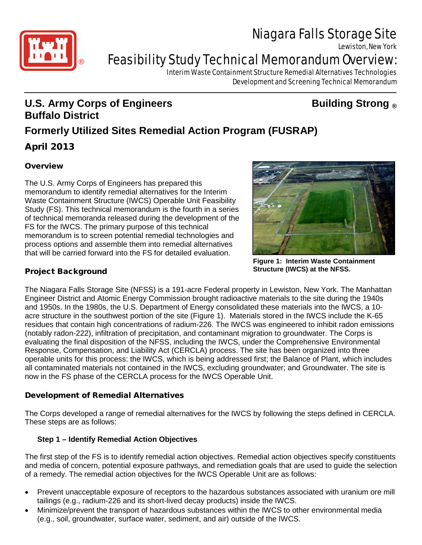

Lewiston, New York



# **Feasibility Study Technical Memorandum Overview:**

Interim Waste Containment Structure Remedial Alternatives Technologies Development and Screening Technical Memorandum

# **U.S. Army Corps of Engineers Building Strong ® Buffalo District**

# **Formerly Utilized Sites Remedial Action Program (FUSRAP)**

# April 2013

# **Overview**

The U.S. Army Corps of Engineers has prepared this memorandum to identify remedial alternatives for the Interim Waste Containment Structure (IWCS) Operable Unit Feasibility Study (FS). This technical memorandum is the fourth in a series of technical memoranda released during the development of the FS for the IWCS. The primary purpose of this technical memorandum is to screen potential remedial technologies and process options and assemble them into remedial alternatives that will be carried forward into the FS for detailed evaluation.



**Figure 1: Interim Waste Containment Structure (IWCS) at the NFSS.**

# Project Background

The Niagara Falls Storage Site (NFSS) is a 191-acre Federal property in Lewiston, New York. The Manhattan Engineer District and Atomic Energy Commission brought radioactive materials to the site during the 1940s and 1950s. In the 1980s, the U.S. Department of Energy consolidated these materials into the IWCS, a 10 acre structure in the southwest portion of the site (Figure 1). Materials stored in the IWCS include the K-65 residues that contain high concentrations of radium-226. The IWCS was engineered to inhibit radon emissions (notably radon-222), infiltration of precipitation, and contaminant migration to groundwater. The Corps is evaluating the final disposition of the NFSS, including the IWCS, under the Comprehensive Environmental Response, Compensation, and Liability Act (CERCLA) process. The site has been organized into three operable units for this process: the IWCS, which is being addressed first; the Balance of Plant, which includes all contaminated materials not contained in the IWCS, excluding groundwater; and Groundwater. The site is now in the FS phase of the CERCLA process for the IWCS Operable Unit.

# Development of Remedial Alternatives

The Corps developed a range of remedial alternatives for the IWCS by following the steps defined in CERCLA. These steps are as follows:

# **Step 1 – Identify Remedial Action Objectives**

The first step of the FS is to identify remedial action objectives. Remedial action objectives specify constituents and media of concern, potential exposure pathways, and remediation goals that are used to guide the selection of a remedy. The remedial action objectives for the IWCS Operable Unit are as follows:

- Prevent unacceptable exposure of receptors to the hazardous substances associated with uranium ore mill tailings (e.g., radium-226 and its short-lived decay products) inside the IWCS.
- Minimize/prevent the transport of hazardous substances within the IWCS to other environmental media (e.g., soil, groundwater, surface water, sediment, and air) outside of the IWCS.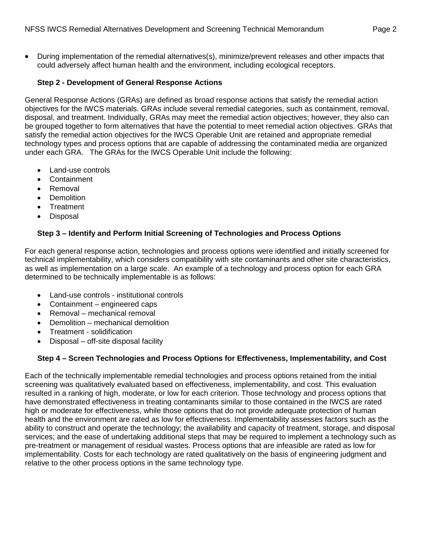• During implementation of the remedial alternatives(s), minimize/prevent releases and other impacts that could adversely affect human health and the environment, including ecological receptors.

#### **Step 2 - Development of General Response Actions**

General Response Actions (GRAs) are defined as broad response actions that satisfy the remedial action objectives for the IWCS materials. GRAs include several remedial categories, such as containment, removal, disposal, and treatment. Individually, GRAs may meet the remedial action objectives; however, they also can be grouped together to form alternatives that have the potential to meet remedial action objectives. GRAs that satisfy the remedial action objectives for the IWCS Operable Unit are retained and appropriate remedial technology types and process options that are capable of addressing the contaminated media are organized under each GRA. The GRAs for the IWCS Operable Unit include the following:

- Land-use controls
- **Containment**
- Removal
- **Demolition**
- **Treatment**
- Disposal

#### **Step 3 – Identify and Perform Initial Screening of Technologies and Process Options**

For each general response action, technologies and process options were identified and initially screened for technical implementability, which considers compatibility with site contaminants and other site characteristics, as well as implementation on a large scale. An example of a technology and process option for each GRA determined to be technically implementable is as follows:

- Land-use controls institutional controls
- Containment engineered caps
- Removal mechanical removal
- Demolition mechanical demolition
- Treatment solidification
- Disposal off-site disposal facility

#### **Step 4 – Screen Technologies and Process Options for Effectiveness, Implementability, and Cost**

Each of the technically implementable remedial technologies and process options retained from the initial screening was qualitatively evaluated based on effectiveness, implementability, and cost. This evaluation resulted in a ranking of high, moderate, or low for each criterion. Those technology and process options that have demonstrated effectiveness in treating contaminants similar to those contained in the IWCS are rated high or moderate for effectiveness, while those options that do not provide adequate protection of human health and the environment are rated as low for effectiveness. Implementability assesses factors such as the ability to construct and operate the technology; the availability and capacity of treatment, storage, and disposal services; and the ease of undertaking additional steps that may be required to implement a technology such as pre-treatment or management of residual wastes. Process options that are infeasible are rated as low for implementability. Costs for each technology are rated qualitatively on the basis of engineering judgment and relative to the other process options in the same technology type.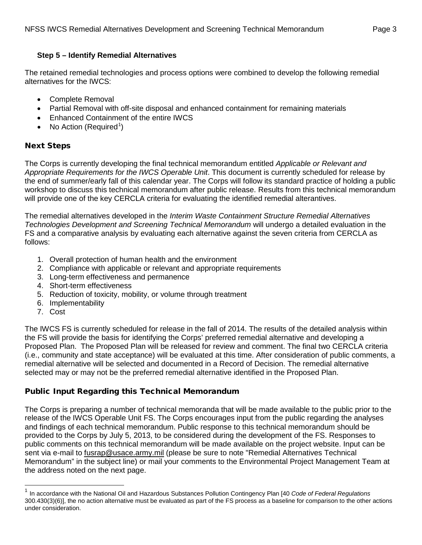### **Step 5 – Identify Remedial Alternatives**

The retained remedial technologies and process options were combined to develop the following remedial alternatives for the IWCS:

- Complete Removal
- Partial Removal with off-site disposal and enhanced containment for remaining materials
- Enhanced Containment of the entire IWCS
- $\bullet$  No Action (Required<sup>[1](#page-2-0)</sup>)

## Next Steps

The Corps is currently developing the final technical memorandum entitled *Applicable or Relevant and Appropriate Requirements for the IWCS Operable Unit*. This document is currently scheduled for release by the end of summer/early fall of this calendar year. The Corps will follow its standard practice of holding a public workshop to discuss this technical memorandum after public release. Results from this technical memorandum will provide one of the key CERCLA criteria for evaluating the identified remedial alterantives.

The remedial alternatives developed in the *Interim Waste Containment Structure Remedial Alternatives Technologies Development and Screening Technical Memorandum* will undergo a detailed evaluation in the FS and a comparative analysis by evaluating each alternative against the seven criteria from CERCLA as follows:

- 1. Overall protection of human health and the environment
- 2. Compliance with applicable or relevant and appropriate requirements
- 3. Long-term effectiveness and permanence
- 4. Short-term effectiveness
- 5. Reduction of toxicity, mobility, or volume through treatment
- 6. Implementability
- 7. Cost

The IWCS FS is currently scheduled for release in the fall of 2014. The results of the detailed analysis within the FS will provide the basis for identifying the Corps' preferred remedial alternative and developing a Proposed Plan. The Proposed Plan will be released for review and comment. The final two CERCLA criteria (i.e., community and state acceptance) will be evaluated at this time. After consideration of public comments, a remedial alternative will be selected and documented in a Record of Decision. The remedial alternative selected may or may not be the preferred remedial alternative identified in the Proposed Plan.

# Public Input Regarding this Technical Memorandum

The Corps is preparing a number of technical memoranda that will be made available to the public prior to the release of the IWCS Operable Unit FS. The Corps encourages input from the public regarding the analyses and findings of each technical memorandum. Public response to this technical memorandum should be provided to the Corps by July 5, 2013, to be considered during the development of the FS. Responses to public comments on this technical memorandum will be made available on the project website. Input can be sent via e-mail to fusrap@usace.army.mil (please be sure to note "Remedial Alternatives Technical Memorandum" in the subject line) or mail your comments to the Environmental Project Management Team at the address noted on the next page.

<span id="page-2-0"></span> <sup>1</sup> In accordance with the National Oil and Hazardous Substances Pollution Contingency Plan [40 *Code of Federal Regulations* 300.430(3)(6)], the no action alternative must be evaluated as part of the FS process as a baseline for comparison to the other actions under consideration.